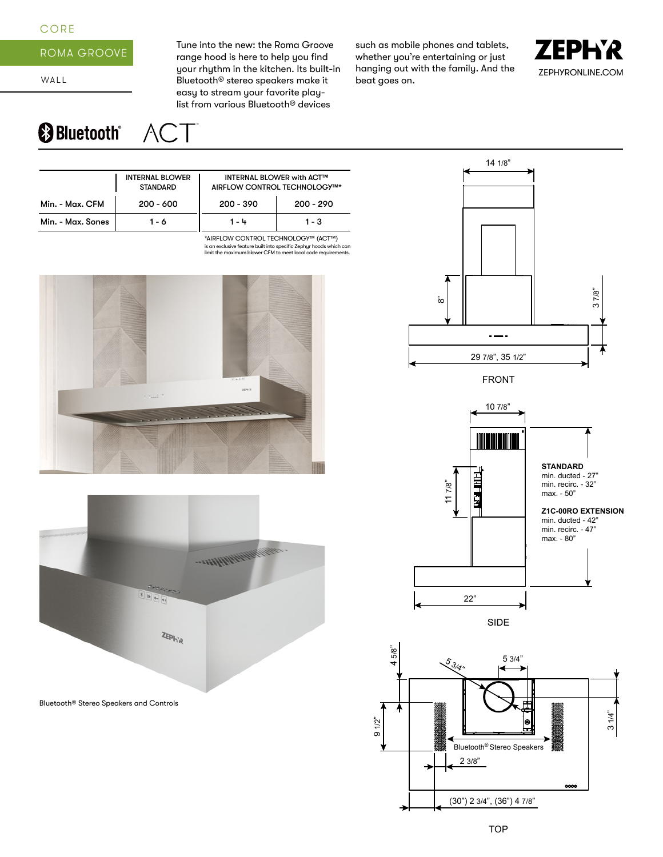## CORE



WALL

Tune into the new: the Roma Groove range hood is here to help you find your rhythm in the kitchen. Its built-in Bluetooth® stereo speakers make it easy to stream your favorite playlist from various Bluetooth® devices

such as mobile phones and tablets, whether you're entertaining or just hanging out with the family. And the beat goes on.



## **& Bluetooth**® **ACT**

|                                | <b>INTERNAL BLOWER</b><br><b>STANDARD</b> |             | <b>INTERNAL BLOWER with ACT™</b><br>AIRFLOW CONTROL TECHNOLOGY™* |  |  |
|--------------------------------|-------------------------------------------|-------------|------------------------------------------------------------------|--|--|
| Min. - Max. CFM<br>$200 - 600$ |                                           | $200 - 390$ | $200 - 290$                                                      |  |  |
| Min. - Max. Sones              | 1 - 6                                     | 1 - 4       | 1 - 3                                                            |  |  |

is an exclusive feature built into specific Zephyr hoods which can limit the maximum blower CFM to meet local code requirements. \*AIRFLOW CONTROL TECHNOLOGY™ (ACT™)





Bluetooth® Stereo Speakers and Controls